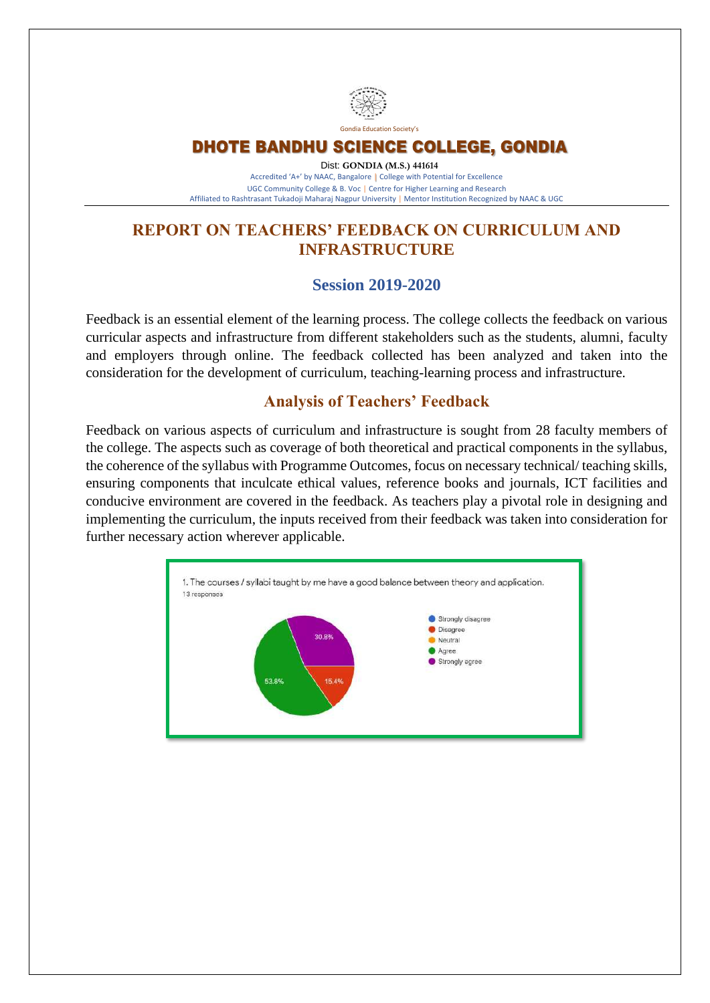

#### DHOTE BANDHU SCIENCE COLLEGE, GONDIA

Dist: **GONDIA (M.S.) 441614** Accredited 'A+' by NAAC, Bangalore **|** College with Potential for Excellence UGC Community College & B. Voc **|** Centre for Higher Learning and Research Affiliated to Rashtrasant Tukadoji Maharaj Nagpur University **|** Mentor Institution Recognized by NAAC & UGC

### **REPORT ON TEACHERS' FEEDBACK ON CURRICULUM AND INFRASTRUCTURE**

#### **Session 2019-2020**

Feedback is an essential element of the learning process. The college collects the feedback on various curricular aspects and infrastructure from different stakeholders such as the students, alumni, faculty and employers through online. The feedback collected has been analyzed and taken into the consideration for the development of curriculum, teaching-learning process and infrastructure.

#### **Analysis of Teachers' Feedback**

Feedback on various aspects of curriculum and infrastructure is sought from 28 faculty members of the college. The aspects such as coverage of both theoretical and practical components in the syllabus, the coherence of the syllabus with Programme Outcomes, focus on necessary technical/ teaching skills, ensuring components that inculcate ethical values, reference books and journals, ICT facilities and conducive environment are covered in the feedback. As teachers play a pivotal role in designing and implementing the curriculum, the inputs received from their feedback was taken into consideration for further necessary action wherever applicable.

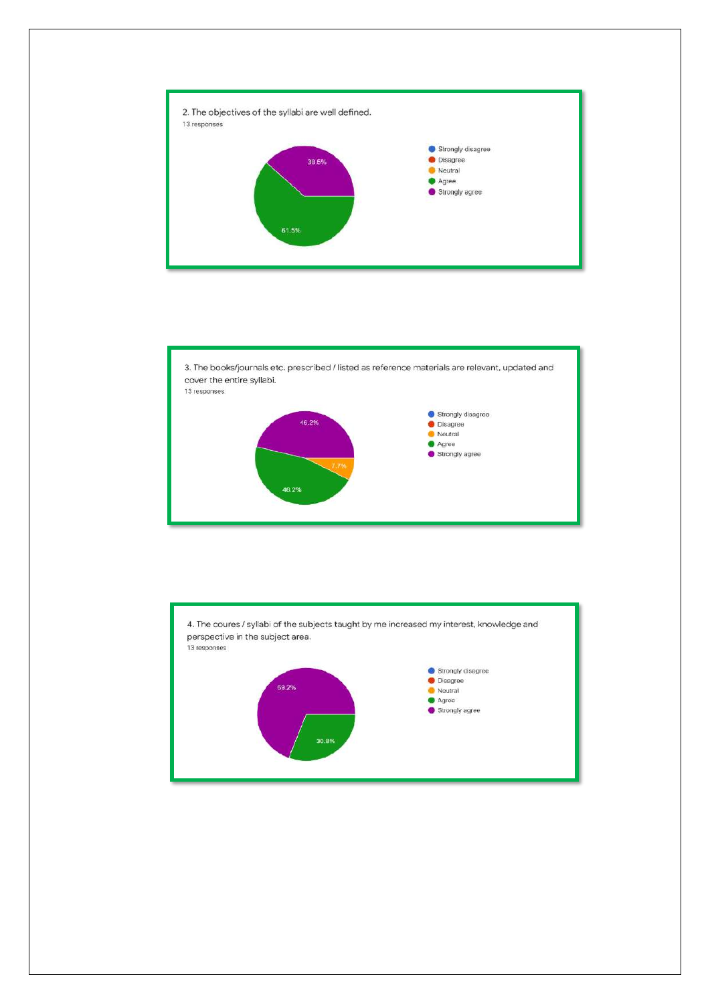



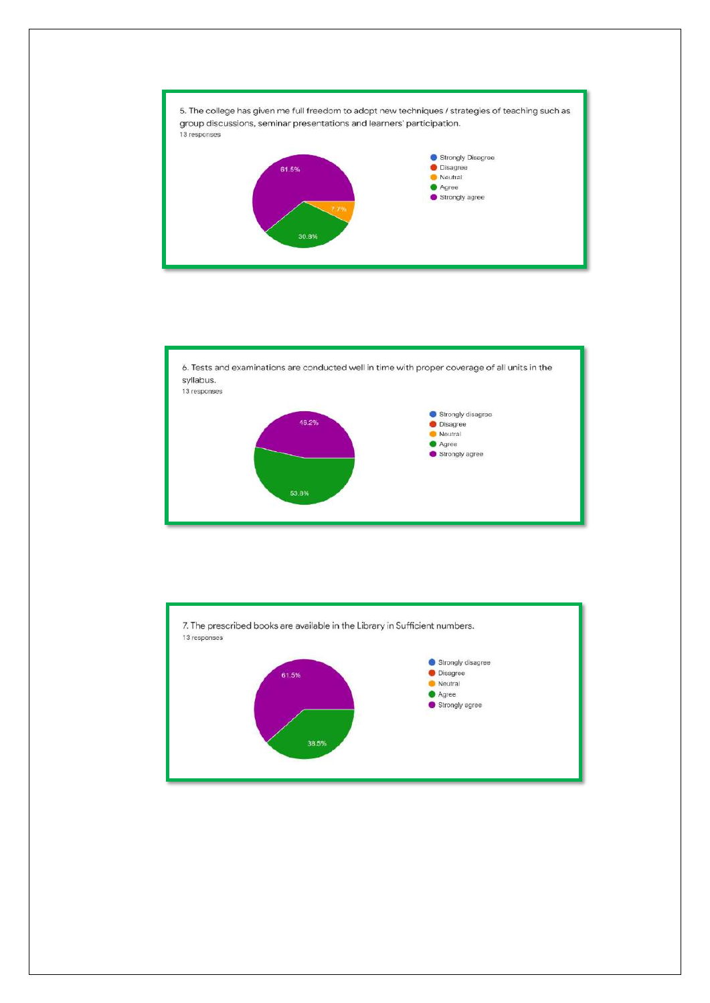



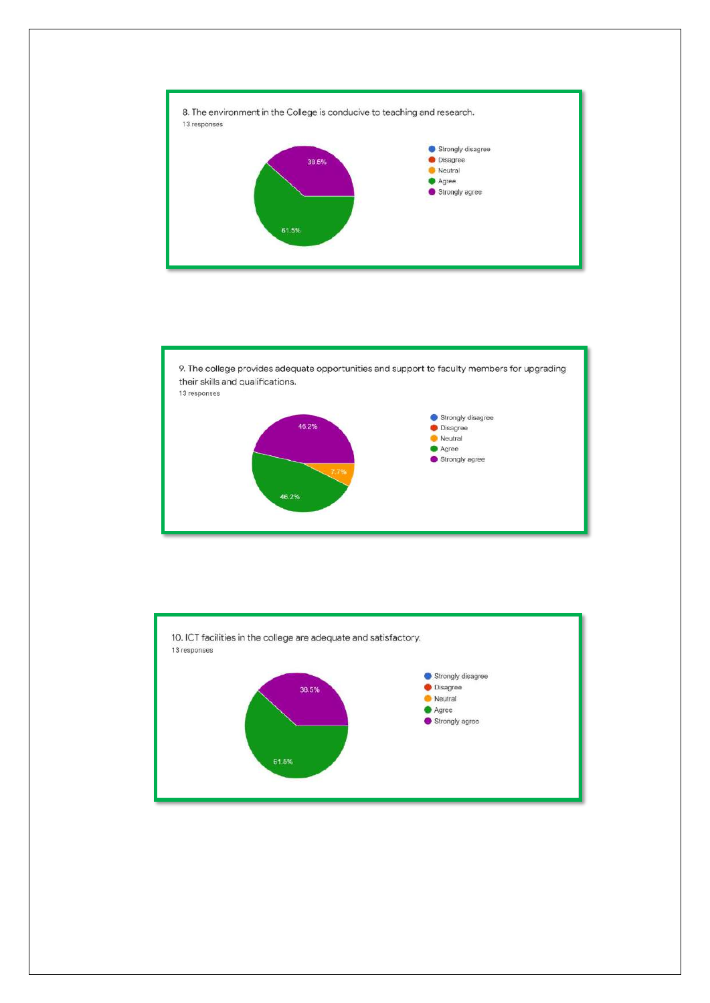



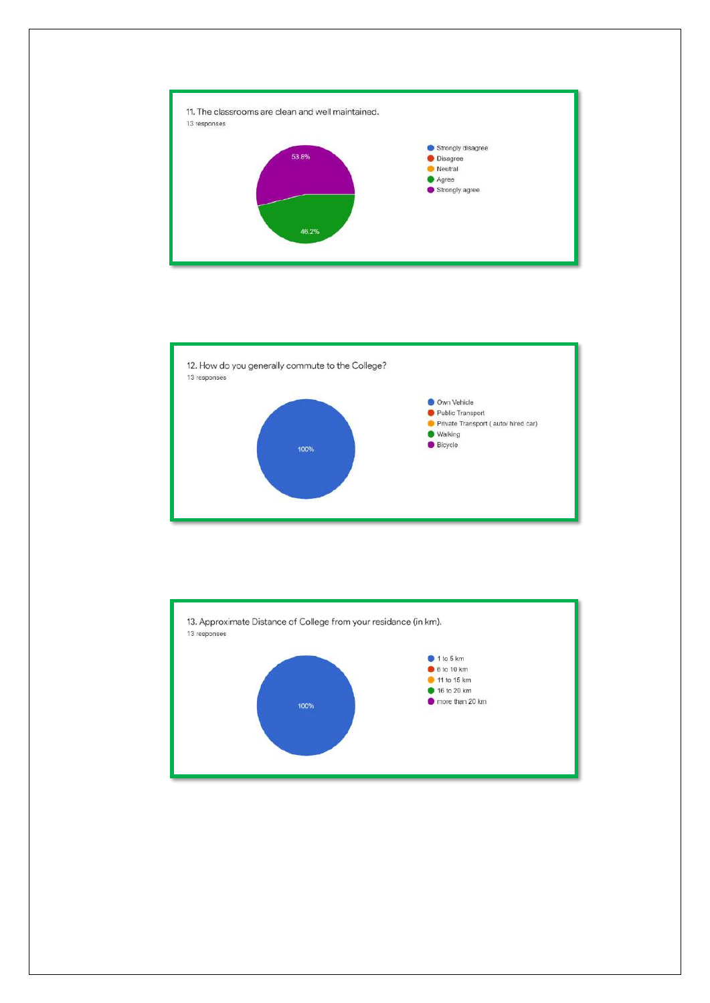



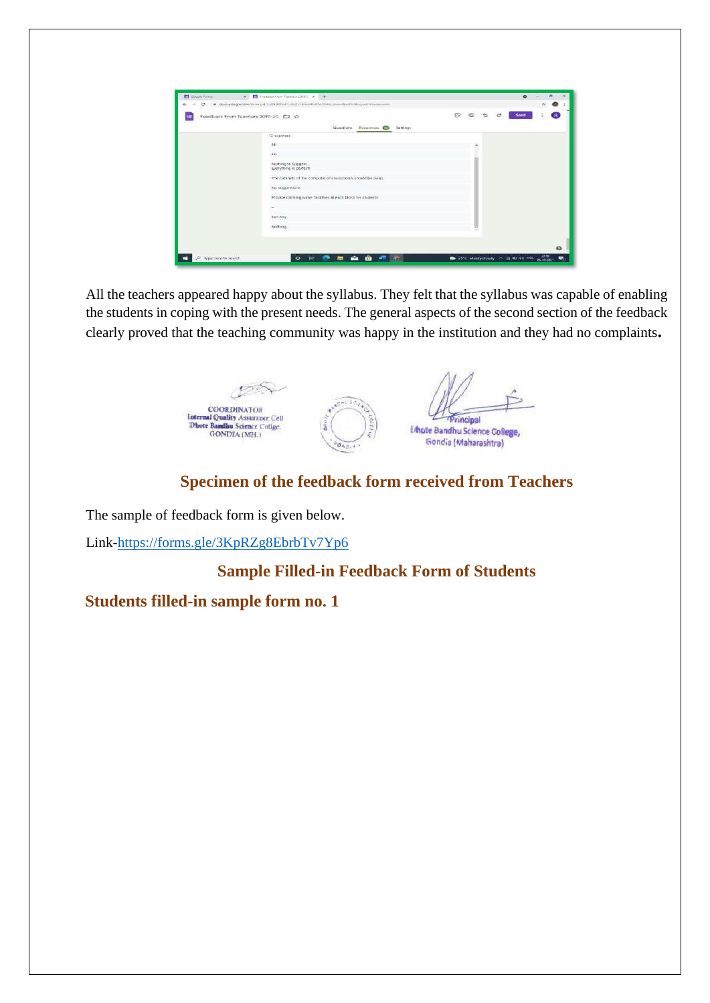|   |                                                                         |  | e | Send | $\mathbf{R}$ |
|---|-------------------------------------------------------------------------|--|---|------|--------------|
| ⊞ | Foodback From Toachers 2019-20 [ ] 12                                   |  |   |      |              |
|   | <b>CONTRACTOR</b><br><b>Questions</b><br>Responses <b>D</b><br>Sentings |  |   |      |              |
|   | 12 responses.                                                           |  |   |      |              |
|   | $141$                                                                   |  |   |      |              |
|   | :600                                                                    |  |   |      |              |
|   | Nothing to Suggest<br>Everything is perfect!                            |  |   |      |              |
|   | The cabinets of the computer of classrooms should be clean.             |  |   |      |              |
|   | No suggestions                                                          |  |   |      |              |
|   | Provide drinking water factities at each tiloca for students.           |  |   |      |              |
|   |                                                                         |  |   |      |              |
|   | <b>COLL</b><br>Not Any                                                  |  |   |      |              |
|   | <b>Nothing</b>                                                          |  |   |      |              |
|   |                                                                         |  |   |      |              |

All the teachers appeared happy about the syllabus. They felt that the syllabus was capable of enabling the students in coping with the present needs. The general aspects of the second section of the feedback clearly proved that the teaching community was happy in the institution and they had no complaints**.**



## **Specimen of the feedback form received from Teachers**

The sample of feedback form is given below.

Link[-https://forms.gle/3KpRZg8EbrbTv7Yp6](https://forms.gle/3KpRZg8EbrbTv7Yp6)

## **Sample Filled-in Feedback Form of Students**

#### **Students filled-in sample form no. 1**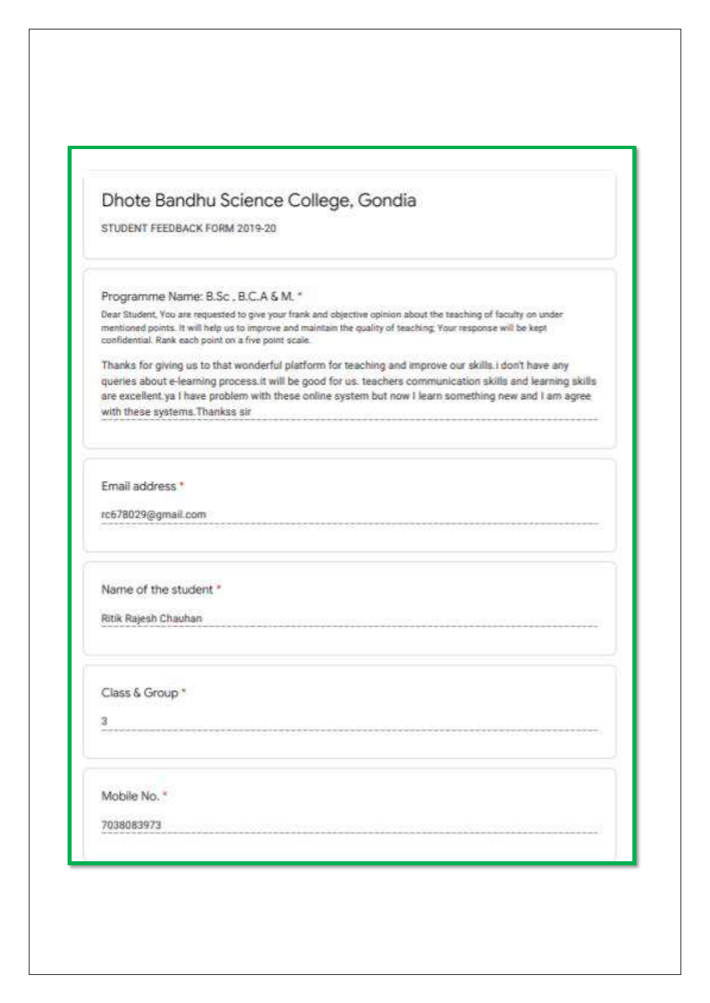# Dhote Bandhu Science College, Gondia

STUDENT FEEDBACK FORM 2019-20

Programme Name: B.Sc., B.C.A & M. \*

Dear Student, You are requested to give your frank and objective opinion about the teaching of faculty on under mentioned points. It will help us to improve and maintain the quality of teaching, Your response will be kept confidential. Rank each point on a five point scale.

Thanks for giving us to that wonderful platform for teaching and improve our skills.i don't have any queries about e-learning process it will be good for us. teachers communication skills and learning skills are excellent ya I have problem with these online system but now I learn something new and I am agree with these systems. Thankss sir

Email address \*

rc678029@gmail.com

Name of the student "

Ritik Rajesh Chauhan

Class & Group \*

з

Mobile No. "

7038083973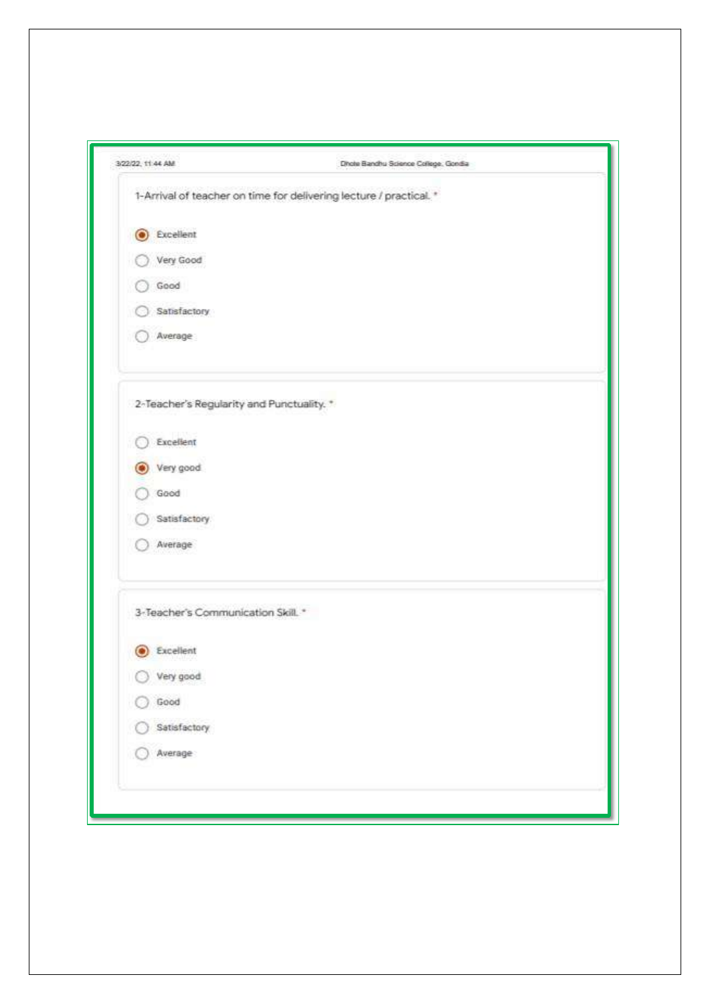| 3/22/22, 11:44 AM                         | Dhote Bandhu Science College: Gondia                               |
|-------------------------------------------|--------------------------------------------------------------------|
|                                           | 1-Arrival of teacher on time for delivering lecture / practical. * |
| Excellent<br>о                            |                                                                    |
| Very Good                                 |                                                                    |
| Good                                      |                                                                    |
| Satisfactory                              |                                                                    |
| Average                                   |                                                                    |
| 2-Teacher's Regularity and Punctuality. * |                                                                    |
| Excellent                                 |                                                                    |
| Very good                                 |                                                                    |
| Good                                      |                                                                    |
| Satisfactory.                             |                                                                    |
| Average                                   |                                                                    |
| 3-Teacher's Communication Skill. *        |                                                                    |
| <b>C</b> Excellent                        |                                                                    |
| Very good                                 |                                                                    |
| Good                                      |                                                                    |
| Satisfactory                              |                                                                    |
| Average                                   |                                                                    |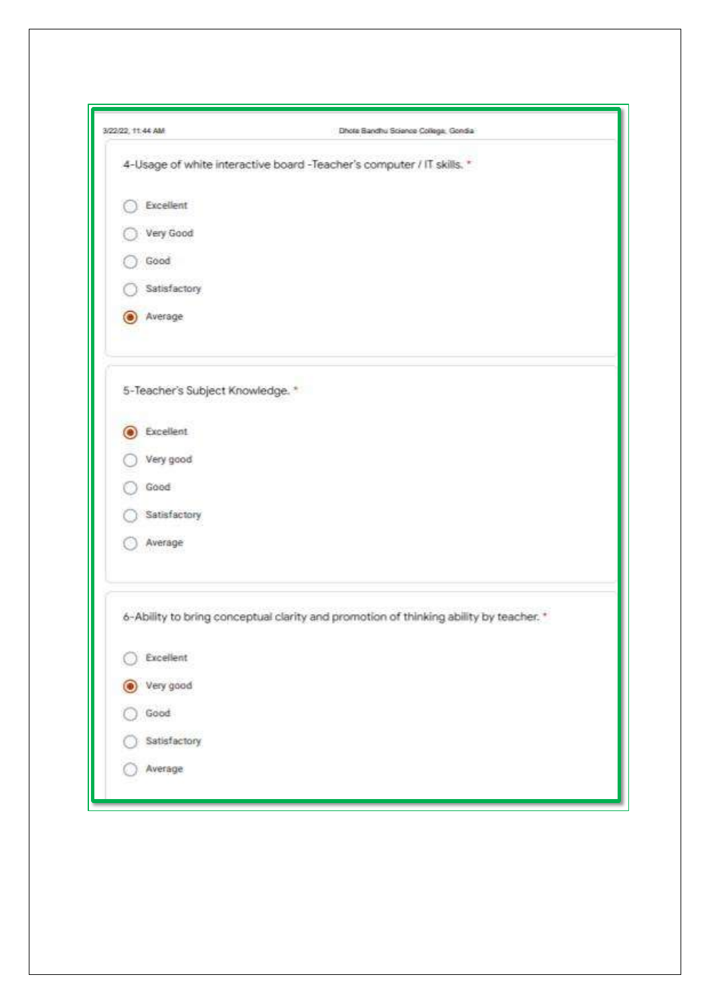| 3/22/22, 11:44 AM                | Dhote Bandhu Science College, Gondia                                                  |
|----------------------------------|---------------------------------------------------------------------------------------|
|                                  | 4-Usage of white interactive board -Teacher's computer / IT skills. *                 |
| Excellent                        |                                                                                       |
| Very Good                        |                                                                                       |
| Good                             |                                                                                       |
| Satisfactory                     |                                                                                       |
| Average<br>O                     |                                                                                       |
| 5-Teacher's Subject Knowledge. * |                                                                                       |
| Excellent<br>O                   |                                                                                       |
| Very good                        |                                                                                       |
| Good                             |                                                                                       |
| Satisfactory                     |                                                                                       |
| Average                          |                                                                                       |
|                                  | 6-Ability to bring conceptual clarity and promotion of thinking ability by teacher. * |
| Excellent                        |                                                                                       |
| Very good<br>$\circ$             |                                                                                       |
| Good                             |                                                                                       |
| Satisfactory                     |                                                                                       |
| Average                          |                                                                                       |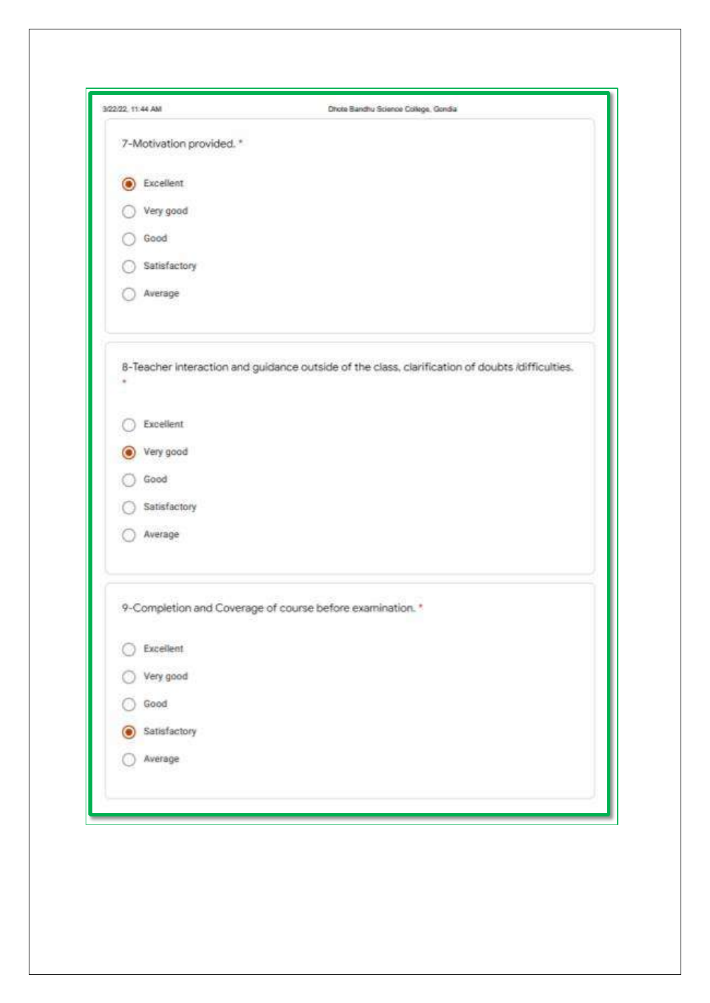| 3/22/22 11:44 AM         | Dhote Bandhu Science College, Gondia                                                            |
|--------------------------|-------------------------------------------------------------------------------------------------|
| 7-Motivation provided. * |                                                                                                 |
| Excellent<br>О           |                                                                                                 |
| Very good                |                                                                                                 |
| Good                     |                                                                                                 |
| Satisfactory             |                                                                                                 |
| Average                  |                                                                                                 |
|                          | 8-Teacher Interaction and guidance outside of the class, clarification of doubts idifficulties. |
| Excellent                |                                                                                                 |
| Very good                |                                                                                                 |
| Good                     |                                                                                                 |
| Satisfactory             |                                                                                                 |
| Average                  |                                                                                                 |
|                          | 9-Completion and Coverage of course before examination. *                                       |
| Excellent                |                                                                                                 |
| Very good                |                                                                                                 |
| Good                     |                                                                                                 |
| Satisfactory<br>C        |                                                                                                 |
| Average                  |                                                                                                 |
|                          |                                                                                                 |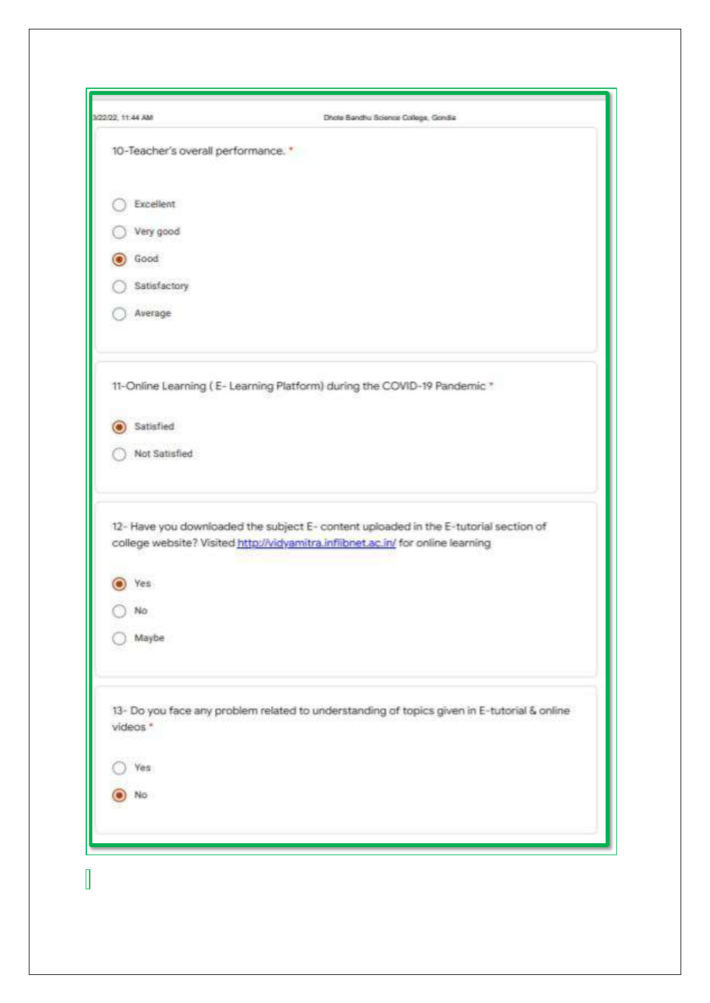| 3/22/22, 11:44 AM                   | Dhote Bandhu Science College, Gondia                                                                                                                                   |
|-------------------------------------|------------------------------------------------------------------------------------------------------------------------------------------------------------------------|
| 10-Teacher's overall performance. * |                                                                                                                                                                        |
| Excellent                           |                                                                                                                                                                        |
| Very good                           |                                                                                                                                                                        |
| Good                                |                                                                                                                                                                        |
| Satisfactory                        |                                                                                                                                                                        |
| Average                             |                                                                                                                                                                        |
|                                     | 11-Online Learning (E-Learning Platform) during the COVID-19 Pandemic *                                                                                                |
| Satisfied                           |                                                                                                                                                                        |
| Not Satisfied                       |                                                                                                                                                                        |
| es<br>No<br>Maybe                   | 12- Have you downloaded the subject E- content uploaded in the E-tutorial section of<br>college website? Visited http://vidyamitra.infibnet.ac.in/ for online learning |
| videos *<br>Yës:                    | 13- Do you face any problem related to understanding of topics given in E-tutorial & online                                                                            |
| No                                  |                                                                                                                                                                        |
|                                     |                                                                                                                                                                        |
|                                     |                                                                                                                                                                        |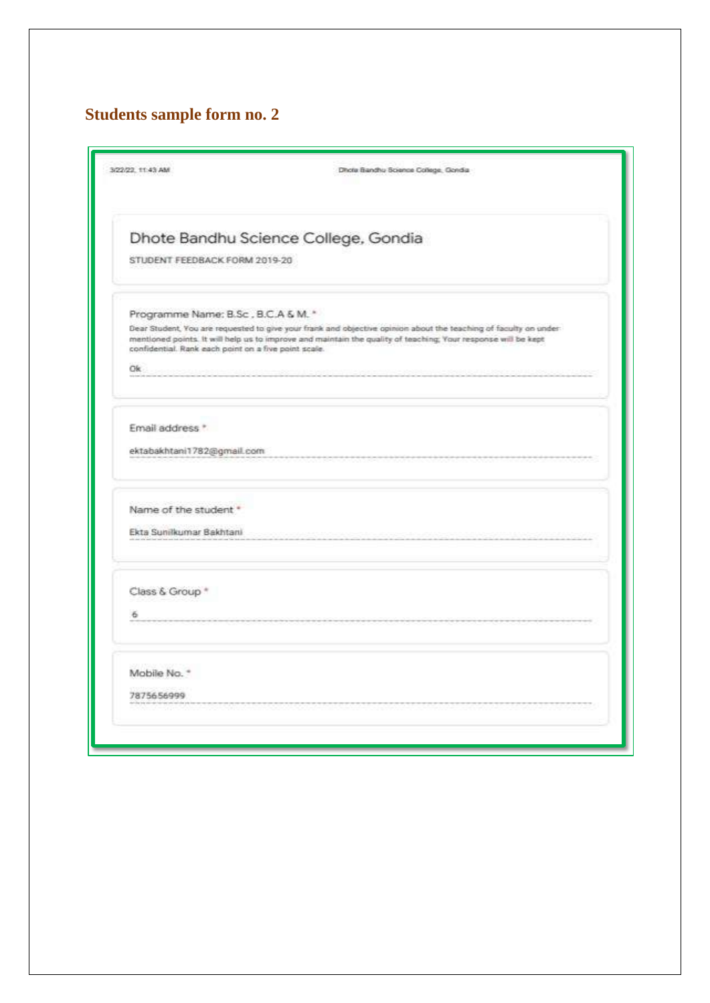# **Students sample form no. 2**

| 3/22/22 11:43 AM                                                                                   | Dhola Bandhu Science College, Gondia                                                                                                                                                                                              |
|----------------------------------------------------------------------------------------------------|-----------------------------------------------------------------------------------------------------------------------------------------------------------------------------------------------------------------------------------|
| STUDENT FEEDBACK FORM 2019-20                                                                      | Dhote Bandhu Science College, Gondia                                                                                                                                                                                              |
| Programme Name: B.Sc., B.C.A & M. *<br>confidential. Rank each point on a five point scale.<br>Ok. | Dear Student, You are requested to give your frank and objective opinion about the teaching of faculty on under-<br>mentioned points. It will help us to improve and maintain the quality of teaching; Your response will be kept |
| Email address *<br>ektabakhtani1782@gmail.com                                                      |                                                                                                                                                                                                                                   |
| Name of the student<br>Ekta Sunilkumar Bakhtani                                                    |                                                                                                                                                                                                                                   |
| Class & Group *<br>6                                                                               |                                                                                                                                                                                                                                   |
| Mobile No. *<br>7875656999                                                                         |                                                                                                                                                                                                                                   |
|                                                                                                    |                                                                                                                                                                                                                                   |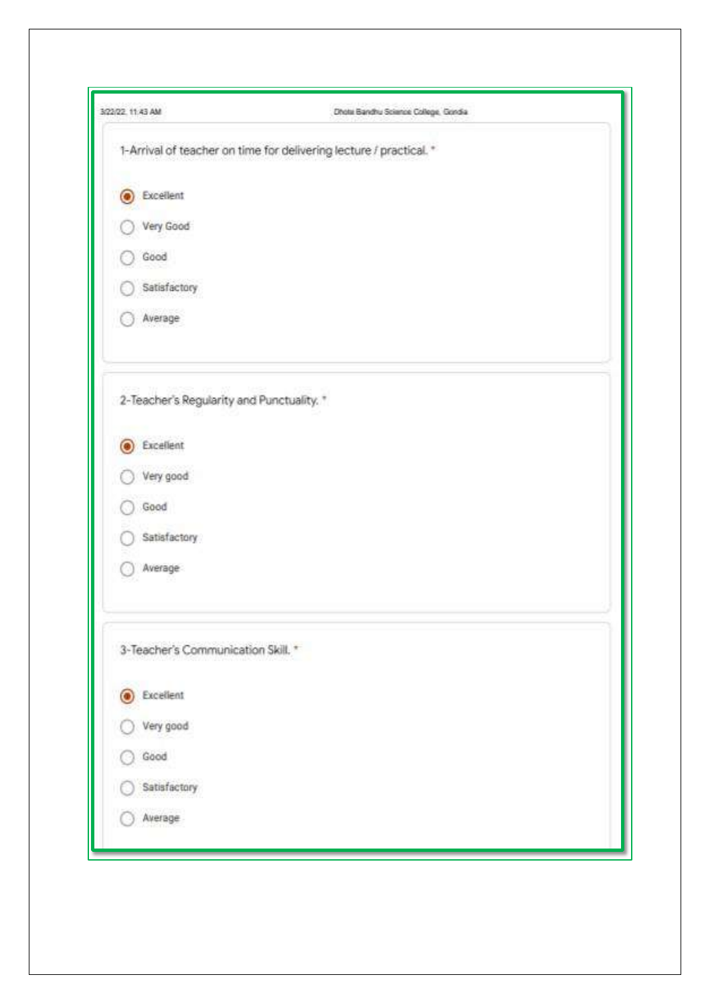| 3/22/22, 11:43 AM                         | Dhota Bandhu Science College, Gondia                               |
|-------------------------------------------|--------------------------------------------------------------------|
|                                           | 1-Arrival of teacher on time for delivering lecture / practical. * |
| C Excellent                               |                                                                    |
| Very Good                                 |                                                                    |
| Good                                      |                                                                    |
| Satisfactory                              |                                                                    |
| Average                                   |                                                                    |
| 2-Teacher's Regularity and Punctuality. * |                                                                    |
| Excellent<br>$\bullet$                    |                                                                    |
| Very good                                 |                                                                    |
| Good                                      |                                                                    |
| Satisfactory                              |                                                                    |
| Average                                   |                                                                    |
| 3-Teacher's Communication Skill. *        |                                                                    |
| <b>C</b> Excellent                        |                                                                    |
| Very good                                 |                                                                    |
| Good                                      |                                                                    |
| Satisfactory                              |                                                                    |
| Average                                   |                                                                    |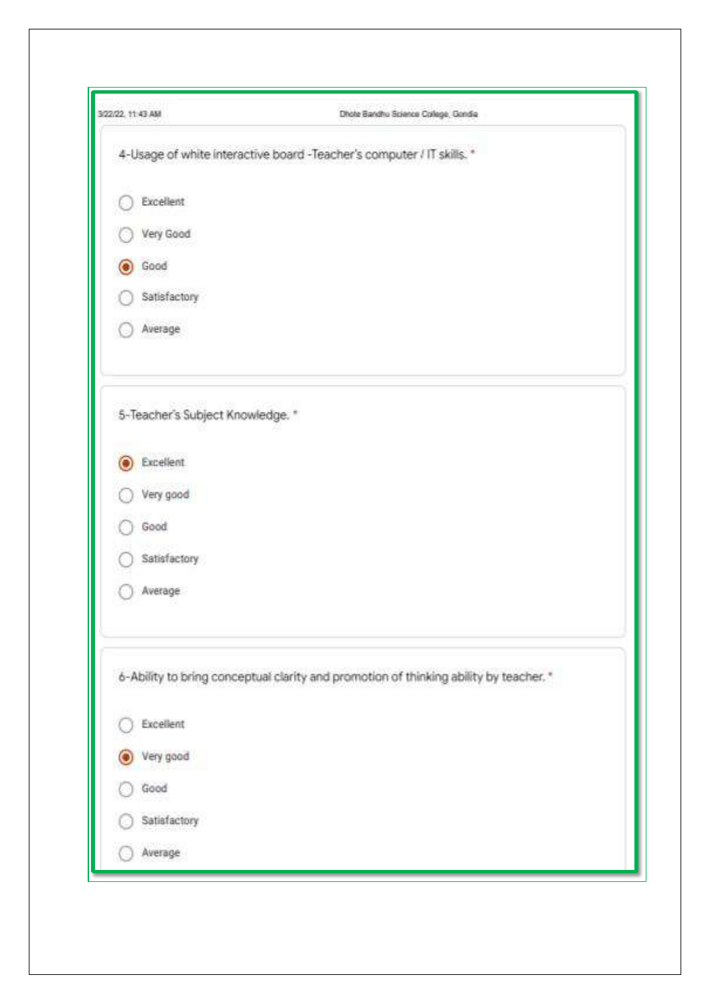| 3/22/22, 11:43 AM                | Dhote Bandhu Science College, Gondia                                                  |
|----------------------------------|---------------------------------------------------------------------------------------|
|                                  | 4-Usage of white interactive board -Teacher's computer / IT skills. *                 |
| Excellent                        |                                                                                       |
| Very Good                        |                                                                                       |
| Good<br>О                        |                                                                                       |
| Satisfactory                     |                                                                                       |
| Average                          |                                                                                       |
| 5-Teacher's Subject Knowledge. * |                                                                                       |
| Excellent                        |                                                                                       |
| Very good                        |                                                                                       |
| Good                             |                                                                                       |
| Satisfactory                     |                                                                                       |
| Average                          |                                                                                       |
|                                  | 6-Ability to bring conceptual clarity and promotion of thinking ability by teacher. * |
| Excellent                        |                                                                                       |
| Very good                        |                                                                                       |
| Good                             |                                                                                       |
| Satisfactory                     |                                                                                       |
| Average                          |                                                                                       |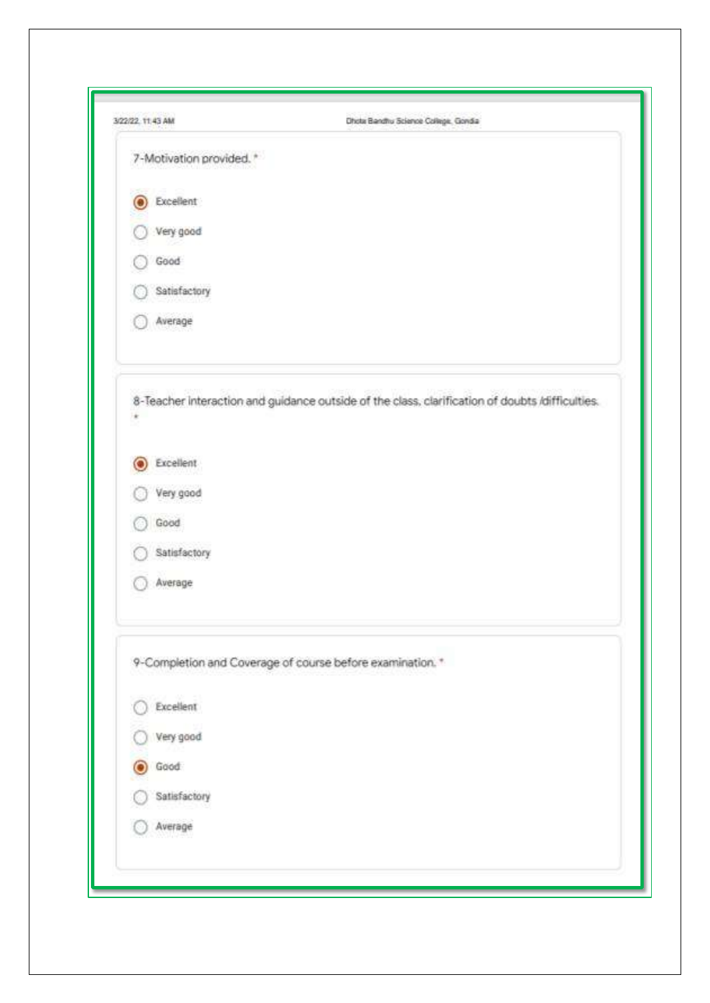| 3/22/22, 11:43 AM        | Dhota Bandhu Science College, Gondia                                                            |
|--------------------------|-------------------------------------------------------------------------------------------------|
| 7-Motivation provided. * |                                                                                                 |
| Excellent<br>O           |                                                                                                 |
| Very good                |                                                                                                 |
| Good                     |                                                                                                 |
| Satisfactory             |                                                                                                 |
| Average                  |                                                                                                 |
| ٠                        | 8-Teacher interaction and guidance outside of the class, clarification of doubts /difficulties. |
| Excellent                |                                                                                                 |
| Very good                |                                                                                                 |
| Good                     |                                                                                                 |
| Satisfactory             |                                                                                                 |
| Average                  |                                                                                                 |
|                          | 9-Completion and Coverage of course before examination. *                                       |
| Excellent                |                                                                                                 |
| Very good                |                                                                                                 |
| Good                     |                                                                                                 |
| Satisfactory             |                                                                                                 |
| Average                  |                                                                                                 |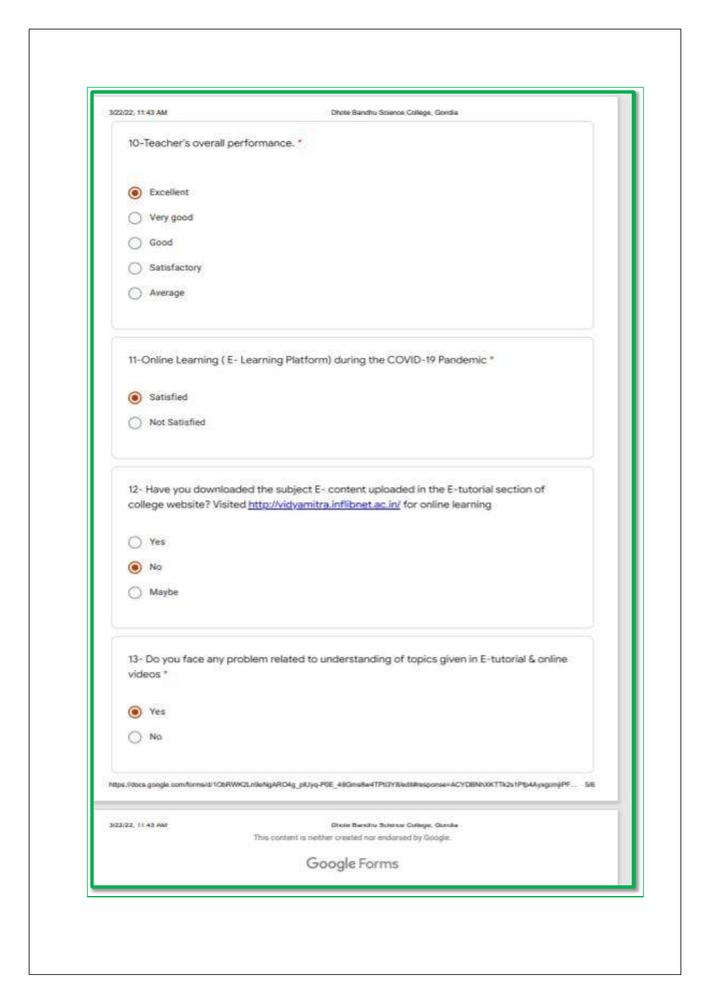| 3/22/22, 11:43 AM                   | Dhote Bandhu Science College, Gondia                                                                                      |
|-------------------------------------|---------------------------------------------------------------------------------------------------------------------------|
| 10-Teacher's overall performance. * |                                                                                                                           |
| Excellent                           |                                                                                                                           |
| Very good                           |                                                                                                                           |
| Good                                |                                                                                                                           |
| Satisfactory                        |                                                                                                                           |
| Average                             |                                                                                                                           |
|                                     | 11-Online Learning (E-Learning Platform) during the COVID-19 Pandemic *                                                   |
| Satisfied                           |                                                                                                                           |
| Not Satisfied                       |                                                                                                                           |
| Yes<br>Nю<br>Maybe                  | college website? Visited http://vidyamitra.inflibnet.ac.in/ for online learning                                           |
| videos <sup>+</sup>                 | 13- Do you face any problem related to understanding of topics given in E-tutorial & online                               |
| Yes                                 |                                                                                                                           |
| No.                                 |                                                                                                                           |
|                                     | https://docs.google.com/tinns/d/1ObRWK2Ln9eNgARO4g_plUyq-P0E_48Gms8e4TPt/3YBladd#resporse=ACYOBNNXKTTk2s1PtjAAyagomjPF 56 |
| 3/23/22, 11:43 AM                   | Dixie Barsitu Science Cultupe, Gunda<br>This content is nether created nor endorsed by Google.                            |
|                                     | Google Forms                                                                                                              |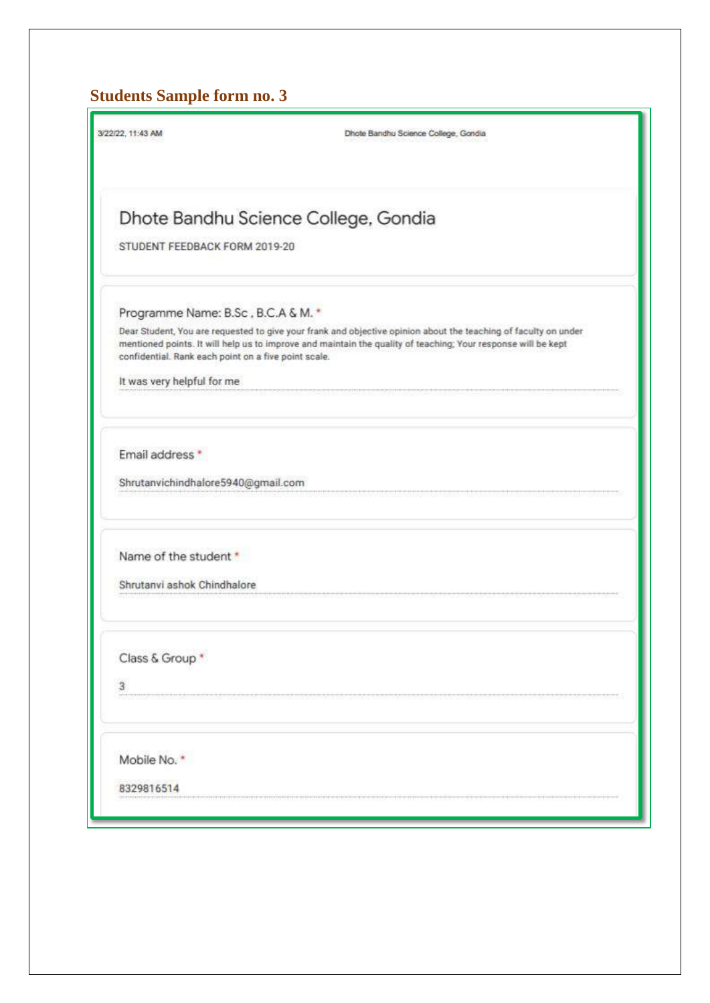# **Students Sample form no. 3**

| 3/22/22, 11:43 AM                                    | Dhote Bandhu Science College, Gondia                                                                                                                                                                                             |  |  |  |  |
|------------------------------------------------------|----------------------------------------------------------------------------------------------------------------------------------------------------------------------------------------------------------------------------------|--|--|--|--|
| Dhote Bandhu Science College, Gondia                 |                                                                                                                                                                                                                                  |  |  |  |  |
| STUDENT FEEDBACK FORM 2019-20                        |                                                                                                                                                                                                                                  |  |  |  |  |
| Programme Name: B.Sc, B.C.A & M.                     |                                                                                                                                                                                                                                  |  |  |  |  |
| confidential. Rank each point on a five point scale. | Dear Student, You are requested to give your frank and objective opinion about the teaching of faculty on under<br>mentioned points. It will help us to improve and maintain the quality of teaching; Your response will be kept |  |  |  |  |
| It was very helpful for me                           |                                                                                                                                                                                                                                  |  |  |  |  |
| Email address *                                      |                                                                                                                                                                                                                                  |  |  |  |  |
| Shrutanvichindhalore5940@gmail.com                   |                                                                                                                                                                                                                                  |  |  |  |  |
| Name of the student *                                |                                                                                                                                                                                                                                  |  |  |  |  |
| Shrutanvi ashok Chindhalore                          |                                                                                                                                                                                                                                  |  |  |  |  |
| Class & Group *                                      |                                                                                                                                                                                                                                  |  |  |  |  |
| $\overline{3}$                                       |                                                                                                                                                                                                                                  |  |  |  |  |
| Mobile No. *                                         |                                                                                                                                                                                                                                  |  |  |  |  |
| 8329816514                                           |                                                                                                                                                                                                                                  |  |  |  |  |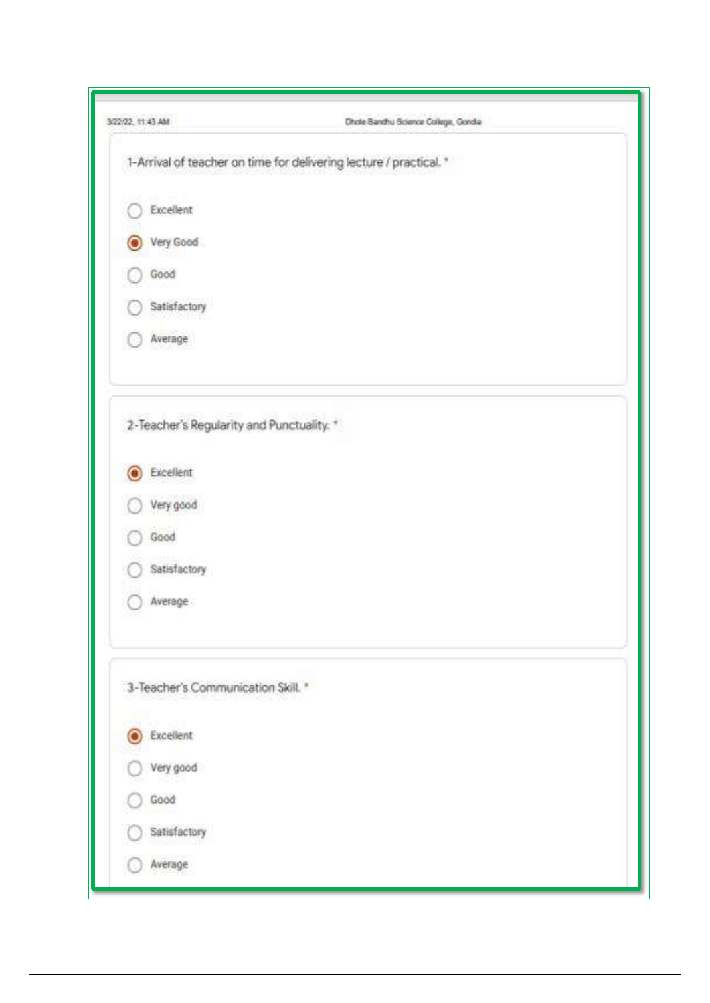| 3/22/22 11:43 AM                          | Dhote Bandhu Science College, Gondia                               |
|-------------------------------------------|--------------------------------------------------------------------|
|                                           | 1-Arrival of teacher on time for delivering lecture / practical. * |
| Excellent                                 |                                                                    |
| Very Good<br>О                            |                                                                    |
| Good                                      |                                                                    |
| Satisfactory                              |                                                                    |
| Average                                   |                                                                    |
| 2-Teacher's Regularity and Punctuality. * |                                                                    |
| Excellent<br>O                            |                                                                    |
| Very good                                 |                                                                    |
| Good                                      |                                                                    |
| Satisfactory                              |                                                                    |
| Average                                   |                                                                    |
| 3-Teacher's Communication Skill. *        |                                                                    |
| <b>C</b> Excellent                        |                                                                    |
| Very good                                 |                                                                    |
| Good                                      |                                                                    |
| Satisfactory                              |                                                                    |
| Average                                   |                                                                    |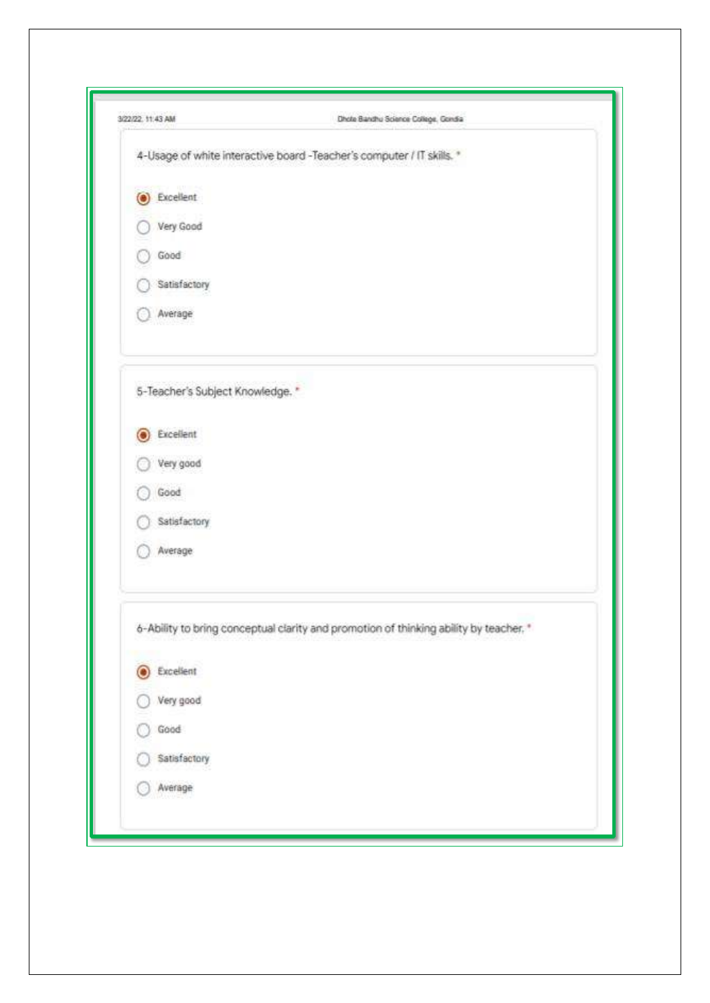| 3/22/22, 11:43 AM               | Dhote Banthu Science College, Gondia                                                  |
|---------------------------------|---------------------------------------------------------------------------------------|
|                                 | 4-Usage of white interactive board -Teacher's computer / IT skills. *                 |
| C Excellent                     |                                                                                       |
| Very Good                       |                                                                                       |
| Good                            |                                                                                       |
| Satisfactory                    |                                                                                       |
| Average                         |                                                                                       |
| 5-Teacher's Subject Knowledge." |                                                                                       |
| <b>B</b> Excellent              |                                                                                       |
| Very good                       |                                                                                       |
| Good                            |                                                                                       |
| Satisfactory                    |                                                                                       |
| Average                         |                                                                                       |
|                                 | 6-Ability to bring conceptual clarity and promotion of thinking ability by teacher. * |
| Excellent<br>O                  |                                                                                       |
| Very good                       |                                                                                       |
| Good                            |                                                                                       |
| Satisfactory                    |                                                                                       |
| Average                         |                                                                                       |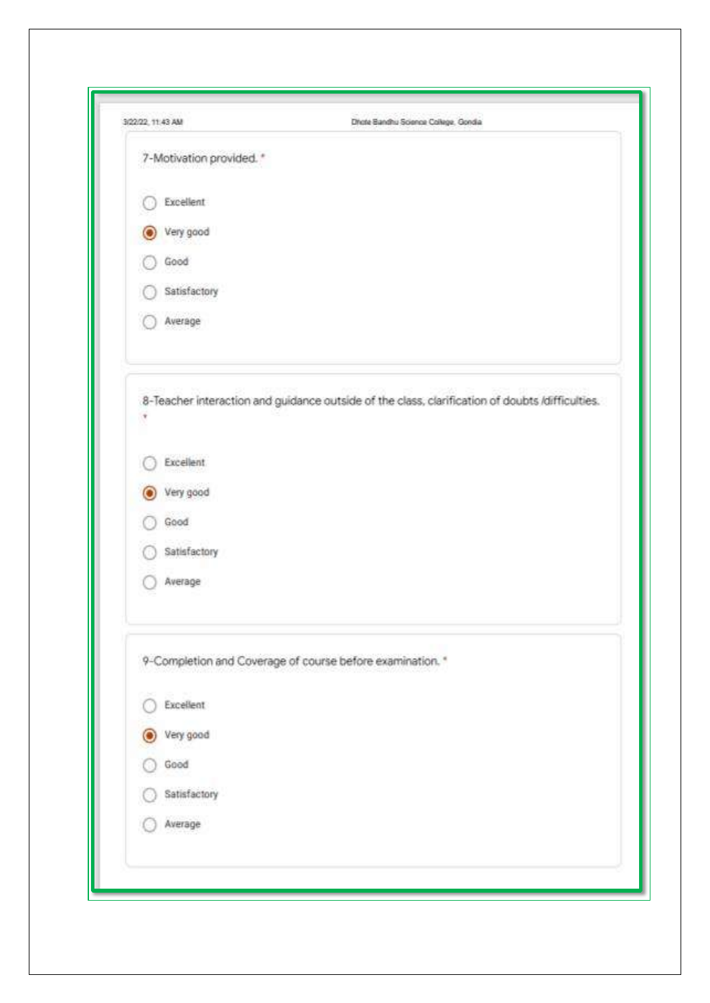| 3/22/22, 11:43 AM        | Dhote Bandhu Science College, Gondia                                                            |
|--------------------------|-------------------------------------------------------------------------------------------------|
| 7-Motivation provided. * |                                                                                                 |
| Excellent                |                                                                                                 |
| Very good                |                                                                                                 |
| Good                     |                                                                                                 |
| Satisfactory             |                                                                                                 |
| Average                  |                                                                                                 |
|                          | 8-Teacher interaction and guidance outside of the class, clarification of doubts /difficulties. |
| <b>Excellent</b>         |                                                                                                 |
| Very good                |                                                                                                 |
| Good                     |                                                                                                 |
| Satisfactory             |                                                                                                 |
| Average                  |                                                                                                 |
|                          | 9-Completion and Coverage of course before examination. *                                       |
| Excellent                |                                                                                                 |
| Very good                |                                                                                                 |
| Good                     |                                                                                                 |
| Satisfactory             |                                                                                                 |
| Average                  |                                                                                                 |
|                          |                                                                                                 |